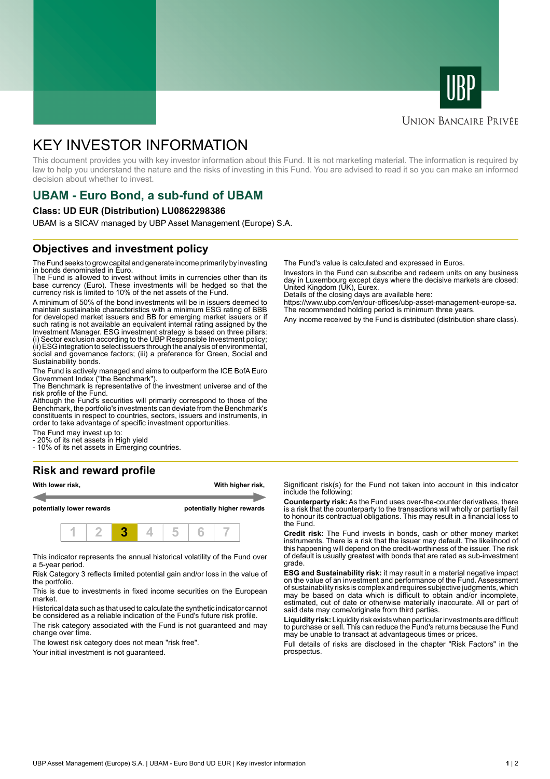



### **UNION BANCAIRE PRIVÉE**

# KEY INVESTOR INFORMATION

This document provides you with key investor information about this Fund. It is not marketing material. The information is required by law to help you understand the nature and the risks of investing in this Fund. You are advised to read it so you can make an informed decision about whether to invest.

# **UBAM - Euro Bond, a sub-fund of UBAM**

#### **Class: UD EUR (Distribution) LU0862298386**

UBAM is a SICAV managed by UBP Asset Management (Europe) S.A.

### **Objectives and investment policy**

The Fund seeks to grow capital and generate income primarily by investing in bonds denominated in Euro.

The Fund is allowed to invest without limits in currencies other than its base currency (Euro). These investments will be hedged so that the currency risk is limited to 10% of the net assets of the Fund.

A minimum of 50% of the bond investments will be in issuers deemed to maintain sustainable characteristics with a minimum ESG rating of BBB for developed market issuers and BB for emerging market issuers or if such rating is not available an equivalent internal rating assigned by the Investment Manager. ESG investment strategy is based on three pillars: (i) Sector exclusion according to the UBP Responsible Investment policy; (ii) ESG integration to select issuers through the analysis of environmental, social and governance factors; (iii) a preference for Green, Social and Sustainability bonds.

The Fund is actively managed and aims to outperform the ICE BofA Euro Government Index ("the Benchmark").

The Benchmark is representative of the investment universe and of the risk profile of the Fund.

Although the Fund's securities will primarily correspond to those of the Benchmark, the portfolio's investments can deviate from the Benchmark's constituents in respect to countries, sectors, issuers and instruments, in order to take advantage of specific investment opportunities.

The Fund may invest up to:

- 20% of its net assets in High yield - 10% of its net assets in Emerging countries.

## **Risk and reward profile**



This indicator represents the annual historical volatility of the Fund over a 5-year period.

Risk Category 3 reflects limited potential gain and/or loss in the value of the portfolio.

This is due to investments in fixed income securities on the European market.

Historical data such as that used to calculate the synthetic indicator cannot be considered as a reliable indication of the Fund's future risk profile. The risk category associated with the Fund is not guaranteed and may change over time.

The lowest risk category does not mean "risk free".

Your initial investment is not quaranteed.

The Fund's value is calculated and expressed in Euros.

Investors in the Fund can subscribe and redeem units on any business day in Luxembourg except days where the decisive markets are closed: United Kingdom (UK), Eurex.

Details of the closing days are available here:

https://www.ubp.com/en/our-offices/ubp-asset-management-europe-sa. The recommended holding period is minimum three years.

Any income received by the Fund is distributed (distribution share class).

Significant risk(s) for the Fund not taken into account in this indicator include the following:

**Counterparty risk:** As the Fund uses over-the-counter derivatives, there is a risk that the counterparty to the transactions will wholly or partially fail to honour its contractual obligations. This may result in a financial loss to the Fund.

**Credit risk:** The Fund invests in bonds, cash or other money market instruments. There is a risk that the issuer may default. The likelihood of this happening will depend on the credit-worthiness of the issuer. The risk of default is usually greatest with bonds that are rated as sub-investment grade.

**ESG and Sustainability risk:** it may result in a material negative impact on the value of an investment and performance of the Fund. Assessment of sustainability risks is complex and requires subjective judgments, which may be based on data which is difficult to obtain and/or incomplete, estimated, out of date or otherwise materially inaccurate. All or part of said data may come/originate from third parties.

**Liquidity risk:** Liquidity risk exists when particular investments are difficult to purchase or sell. This can reduce the Fund's returns because the Fund may be unable to transact at advantageous times or prices.

Full details of risks are disclosed in the chapter "Risk Factors" in the prospectus.